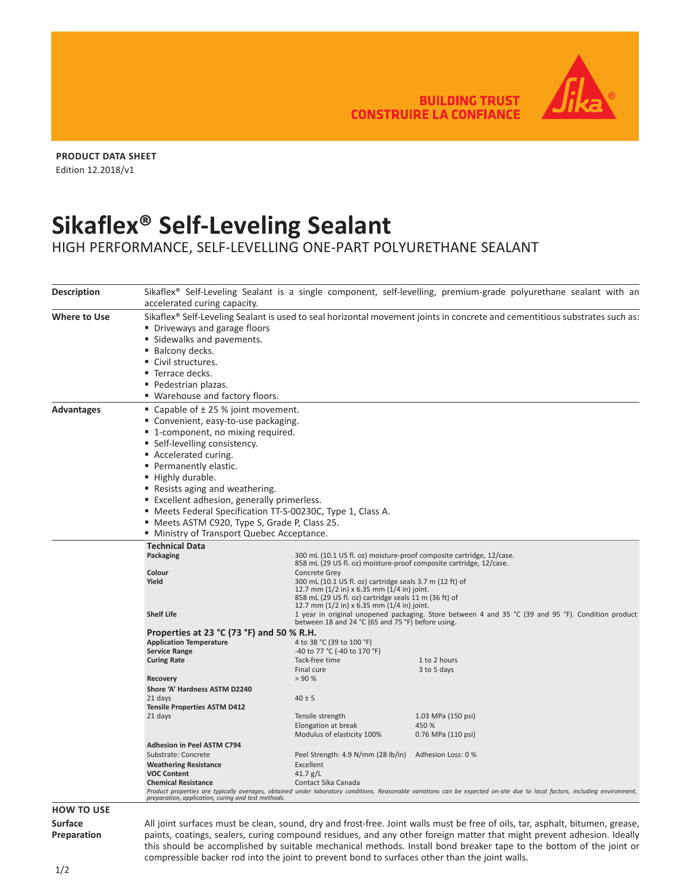BUILDING TRUST<br>CONSTRUIRE LA CONFIANCE



**PRODUCT DATA SHEET** Edition 12.2018/v1

## **Sikaflex® Self-Leveling Sealant**

HIGH PERFORMANCE, SELF-LEVELLING ONE-PART POLYURETHANE SEALANT

| <b>Description</b>  | Sikaflex <sup>®</sup> Self-Leveling Sealant is a single component, self-levelling, premium-grade polyurethane sealant with an<br>accelerated curing capacity.                                                                    |                                                       |                                                                                                                               |  |  |  |  |  |
|---------------------|----------------------------------------------------------------------------------------------------------------------------------------------------------------------------------------------------------------------------------|-------------------------------------------------------|-------------------------------------------------------------------------------------------------------------------------------|--|--|--|--|--|
| <b>Where to Use</b> | Sikaflex <sup>®</sup> Self-Leveling Sealant is used to seal horizontal movement joints in concrete and cementitious substrates such as:<br>• Driveways and garage floors<br>Sidewalks and pavements.                             |                                                       |                                                                                                                               |  |  |  |  |  |
|                     | ■ Balcony decks.                                                                                                                                                                                                                 |                                                       |                                                                                                                               |  |  |  |  |  |
|                     | Civil structures.                                                                                                                                                                                                                |                                                       |                                                                                                                               |  |  |  |  |  |
|                     | ■ Terrace decks.                                                                                                                                                                                                                 |                                                       |                                                                                                                               |  |  |  |  |  |
|                     | ■ Pedestrian plazas.                                                                                                                                                                                                             |                                                       |                                                                                                                               |  |  |  |  |  |
|                     | " Warehouse and factory floors.                                                                                                                                                                                                  |                                                       |                                                                                                                               |  |  |  |  |  |
| <b>Advantages</b>   | ■ Capable of $±$ 25 % joint movement.                                                                                                                                                                                            |                                                       |                                                                                                                               |  |  |  |  |  |
|                     | ■ Convenient, easy-to-use packaging.                                                                                                                                                                                             |                                                       |                                                                                                                               |  |  |  |  |  |
|                     | ■ 1-component, no mixing required.                                                                                                                                                                                               |                                                       |                                                                                                                               |  |  |  |  |  |
|                     | ■ Self-levelling consistency.                                                                                                                                                                                                    |                                                       |                                                                                                                               |  |  |  |  |  |
|                     | Accelerated curing.                                                                                                                                                                                                              |                                                       |                                                                                                                               |  |  |  |  |  |
|                     | • Permanently elastic.                                                                                                                                                                                                           |                                                       |                                                                                                                               |  |  |  |  |  |
|                     | " Highly durable.                                                                                                                                                                                                                |                                                       |                                                                                                                               |  |  |  |  |  |
|                     | ■ Resists aging and weathering.                                                                                                                                                                                                  |                                                       |                                                                                                                               |  |  |  |  |  |
|                     | ■ Excellent adhesion, generally primerless.                                                                                                                                                                                      |                                                       |                                                                                                                               |  |  |  |  |  |
|                     | • Meets Federal Specification TT-S-00230C, Type 1, Class A.                                                                                                                                                                      |                                                       |                                                                                                                               |  |  |  |  |  |
|                     | " Meets ASTM C920, Type S, Grade P, Class 25.                                                                                                                                                                                    |                                                       |                                                                                                                               |  |  |  |  |  |
|                     | " Ministry of Transport Quebec Acceptance.                                                                                                                                                                                       |                                                       |                                                                                                                               |  |  |  |  |  |
|                     | <b>Technical Data</b>                                                                                                                                                                                                            |                                                       |                                                                                                                               |  |  |  |  |  |
|                     | 300 mL (10.1 US fl. oz) moisture-proof composite cartridge, 12/case.<br>Packaging                                                                                                                                                |                                                       |                                                                                                                               |  |  |  |  |  |
|                     |                                                                                                                                                                                                                                  |                                                       | 858 mL (29 US fl. oz) moisture-proof composite cartridge, 12/case.                                                            |  |  |  |  |  |
|                     | Colour<br><b>Concrete Grey</b><br>Yield                                                                                                                                                                                          |                                                       |                                                                                                                               |  |  |  |  |  |
|                     | 300 mL (10.1 US fl. oz) cartridge seals 3.7 m (12 ft) of<br>12.7 mm (1/2 in) x 6.35 mm (1/4 in) joint.<br>858 mL (29 US fl. oz) cartridge seals 11 m (36 ft) of<br>12.7 mm (1/2 in) x 6.35 mm (1/4 in) joint.                    |                                                       |                                                                                                                               |  |  |  |  |  |
|                     | <b>Shelf Life</b><br>1 year in original unopened packaging. Store between 4 and 35 °C (39 and 95 °F). Condition product<br>between 18 and 24 °C (65 and 75 °F) before using.                                                     |                                                       |                                                                                                                               |  |  |  |  |  |
|                     | Properties at 23 °C (73 °F) and 50 % R.H.                                                                                                                                                                                        |                                                       |                                                                                                                               |  |  |  |  |  |
|                     | <b>Application Temperature</b><br>4 to 38 °C (39 to 100 °F)                                                                                                                                                                      |                                                       |                                                                                                                               |  |  |  |  |  |
|                     | <b>Service Range</b><br>-40 to 77 °C (-40 to 170 °F)<br><b>Curing Rate</b><br>Tack-free time<br>1 to 2 hours                                                                                                                     |                                                       |                                                                                                                               |  |  |  |  |  |
|                     |                                                                                                                                                                                                                                  | Final cure                                            | 3 to 5 days                                                                                                                   |  |  |  |  |  |
|                     | Recovery                                                                                                                                                                                                                         | > 90%                                                 |                                                                                                                               |  |  |  |  |  |
|                     | Shore 'A' Hardness ASTM D2240                                                                                                                                                                                                    |                                                       |                                                                                                                               |  |  |  |  |  |
|                     | 21 days<br>$40 \pm 5$                                                                                                                                                                                                            |                                                       |                                                                                                                               |  |  |  |  |  |
|                     | <b>Tensile Properties ASTM D412</b>                                                                                                                                                                                              |                                                       |                                                                                                                               |  |  |  |  |  |
|                     | 21 days                                                                                                                                                                                                                          | Tensile strength<br>Elongation at break               | 1.03 MPa (150 psi)<br>450 %                                                                                                   |  |  |  |  |  |
|                     |                                                                                                                                                                                                                                  | Modulus of elasticity 100%                            | 0.76 MPa (110 psi)                                                                                                            |  |  |  |  |  |
|                     | <b>Adhesion in Peel ASTM C794</b>                                                                                                                                                                                                |                                                       |                                                                                                                               |  |  |  |  |  |
|                     | Substrate: Concrete                                                                                                                                                                                                              | Peel Strength: 4.9 N/mm (28 lb/in) Adhesion Loss: 0 % |                                                                                                                               |  |  |  |  |  |
|                     | <b>Weathering Resistance</b><br>Excellent                                                                                                                                                                                        |                                                       |                                                                                                                               |  |  |  |  |  |
|                     | <b>VOC Content</b><br>41.7 $g/L$                                                                                                                                                                                                 |                                                       |                                                                                                                               |  |  |  |  |  |
|                     | Contact Sika Canada<br><b>Chemical Resistance</b><br>Product properties are typically averages, obtained under laboratory conditions. Reasonable variations can be expected on-site due to local factors, including environment, |                                                       |                                                                                                                               |  |  |  |  |  |
|                     | preparation, application, curing and test methods.                                                                                                                                                                               |                                                       |                                                                                                                               |  |  |  |  |  |
| <b>HOW TO USE</b>   |                                                                                                                                                                                                                                  |                                                       |                                                                                                                               |  |  |  |  |  |
| <b>Surface</b>      |                                                                                                                                                                                                                                  |                                                       | All joint surfaces must be clean, sound, dry and frost-free. Joint walls must be free of oils, tar, asphalt, bitumen, grease, |  |  |  |  |  |
| Preparation         | paints, coatings, sealers, curing compound residues, and any other foreign matter that might prevent adhesion. Ideally                                                                                                           |                                                       |                                                                                                                               |  |  |  |  |  |
|                     | this should be accomplished by suitable mechanical methods. Install bond breaker tape to the bottom of the joint or                                                                                                              |                                                       |                                                                                                                               |  |  |  |  |  |

compressible backer rod into the joint to prevent bond to surfaces other than the joint walls.